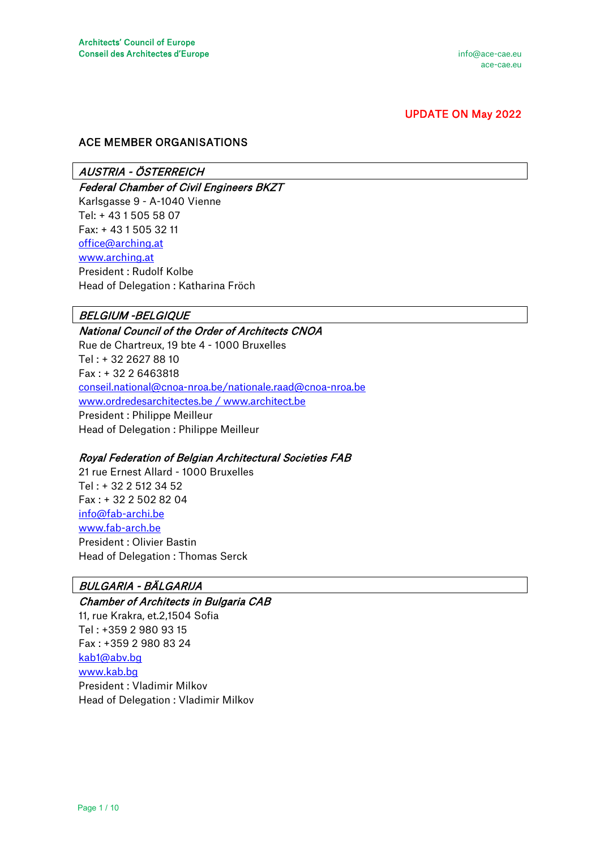# UPDATE ON May 2022

## ACE MEMBER ORGANISATIONS

## AUSTRIA - ÖSTERREICH

Federal Chamber of Civil Engineers BKZT Karlsgasse 9 - A-1040 Vienne Tel: + 43 1 505 58 07 Fax: + 43 1 505 32 11 [office@arching.at](mailto:office@arching.at)  [www.arching.at](http://www.arching.at/)  President : Rudolf Kolbe Head of Delegation : Katharina Fröch

## BELGIUM -BELGIQUE

National Council of the Order of Architects CNOA Rue de Chartreux, 19 bte 4 - 1000 Bruxelles Tel : + 32 2627 88 10 Fax : + 32 2 6463818 [conseil.national@cnoa-nroa.be/nationale.raad@cnoa-nroa.be](mailto:conseil.national@cnoa-nroa.be/nationale.raad@cnoa-nroa.be)  www.ordredesarchitectes.be / www.architect.be President : Philippe Meilleur Head of Delegation : Philippe Meilleur

## Royal Federation of Belgian Architectural Societies FAB

21 rue Ernest Allard - 1000 Bruxelles Tel : + 32 2 512 34 52 Fax : + 32 2 502 82 04 [info@fab-archi.be](mailto:info@fab-archi.be)  [www.fab-arch.be](http://www.fab-arch.be/)  President : Olivier Bastin Head of Delegation : Thomas Serck

# BULGARIA - BÄLGARIJA

Chamber of Architects in Bulgaria CAB 11, rue Krakra, et.2,1504 Sofia Tel : +359 2 980 93 15 Fax : +359 2 980 83 24 [kab1@abv.bg](mailto:kab1@abv.bg)  [www.kab.bg](http://www.kab.bg/) President : Vladimir Milkov Head of Delegation : Vladimir Milkov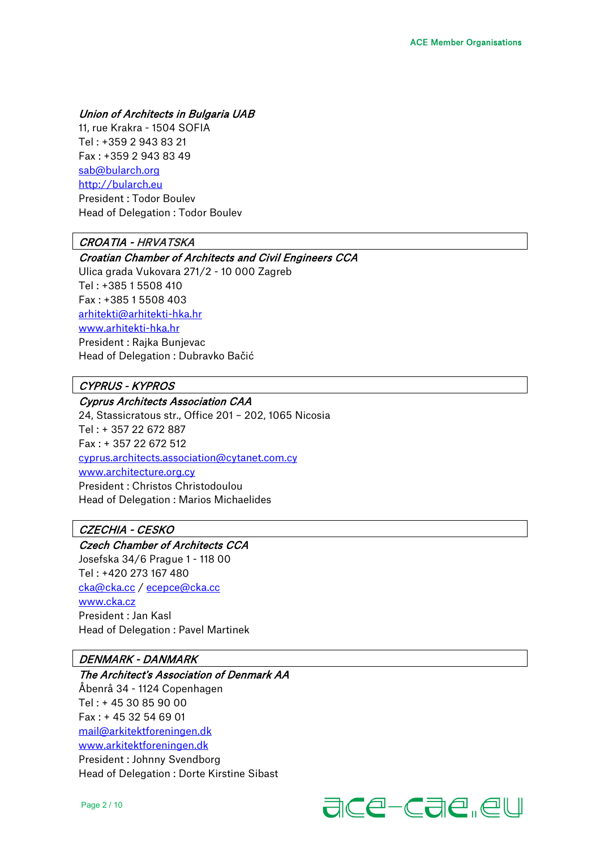## Union of Architects in Bulgaria UAB

11, rue Krakra - 1504 SOFIA Tel : +359 2 943 83 21 Fax : +359 2 943 83 49 [sab@bularch.org](mailto:sab@bularch.org)  [http://bularch.eu](http://bularch.eu/) President : Todor Boulev Head of Delegation : Todor Boulev

## CROATIA - HRVATSKA

#### Croatian Chamber of Architects and Civil Engineers CCA

Ulica grada Vukovara 271/2 - 10 000 Zagreb Tel : +385 1 5508 410 Fax : +385 1 5508 403 [arhitekti@arhitekti-hka.hr](mailto:arhitekti@arhitekti-hka.hr)  [www.arhitekti-hka.hr](http://www.arhitekti-hka.hr/)  President : Rajka Bunjevac Head of Delegation : Dubravko Bačić

#### CYPRUS - KYPROS

Cyprus Architects Association CAA 24, Stassicratous str., Office 201 – 202, 1065 Nicosia Tel : + 357 22 672 887 Fax : + 357 22 672 512 [cyprus.architects.association@cytanet.com.cy](mailto:cyprus.architects.association@cytanet.com.cy)  [www.architecture.org.cy](http://www.architecture.org.cy/) President : Christos Christodoulou Head of Delegation : Marios Michaelides

## CZECHIA - CESKO

Czech Chamber of Architects CCA Josefska 34/6 Prague 1 - 118 00 Tel : +420 273 167 480 [cka@cka.cc](mailto:cka@cka.cc) / [ecepce@cka.cc](mailto:ecepce@cka.cc) [www.cka.cz](http://www.cka.cz/) President : Jan Kasl Head of Delegation : Pavel Martinek

## DENMARK - DANMARK

The Architect's Association of Denmark AA Åbenrå 34 - 1124 Copenhagen Tel : + 45 30 85 90 00 Fax : + 45 32 54 69 01 [mail@arkitektforeningen.dk](mailto:mail@arkitektforeningen.dk)  [www.arkitektforeningen.dk](http://www.arkitektforeningen.dk/)  President : Johnny Svendborg Head of Delegation : Dorte Kirstine Sibast

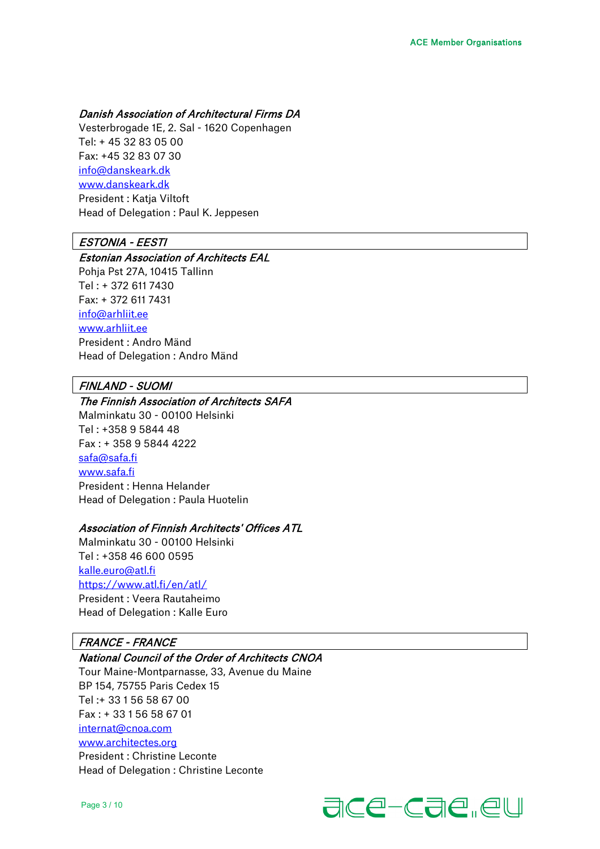#### Danish Association of Architectural Firms DA

Vesterbrogade 1E, 2. Sal - 1620 Copenhagen Tel: + 45 32 83 05 00 Fax: +45 32 83 07 30 [info@danskeark.dk](mailto:info@danskeark.dk)  [www.danskeark.dk](http://www.danskeark.dk/)  President : Katja Viltoft Head of Delegation : Paul K. Jeppesen

#### ESTONIA - EESTI

#### Estonian Association of Architects EAL

Pohja Pst 27A, 10415 Tallinn Tel : + 372 611 7430 Fax: + 372 611 7431 [info@arhliit.ee](mailto:info@arhliit.ee)  [www.arhliit.ee](http://www.arhliit.ee/) President : Andro Mänd Head of Delegation : Andro Mänd

## FINLAND - SUOMI

#### The Finnish Association of Architects SAFA

Malminkatu 30 - 00100 Helsinki Tel : +358 9 5844 48 Fax : + 358 9 5844 4222 [safa@safa.fi](mailto:safa@safa.fi)  [www.safa.fi](http://www.safa.fi/) President : Henna Helander Head of Delegation : Paula Huotelin

#### Association of Finnish Architects' Offices ATL

Malminkatu 30 - 00100 Helsinki Tel : +358 46 600 0595 [kalle.euro@atl.fi](mailto:kalle.euro@atl.fi) <https://www.atl.fi/en/atl/> President : Veera Rautaheimo Head of Delegation : Kalle Euro

#### FRANCE - FRANCE

## National Council of the Order of Architects CNOA

Tour Maine-Montparnasse, 33, Avenue du Maine BP 154, 75755 Paris Cedex 15 Tel :+ 33 1 56 58 67 00 Fax : + 33 1 56 58 67 01 [internat@cnoa.com](mailto:internat@cnoa.com)  [www.architectes.org](http://www.architectes.org/)  President : Christine Leconte Head of Delegation : Christine Leconte

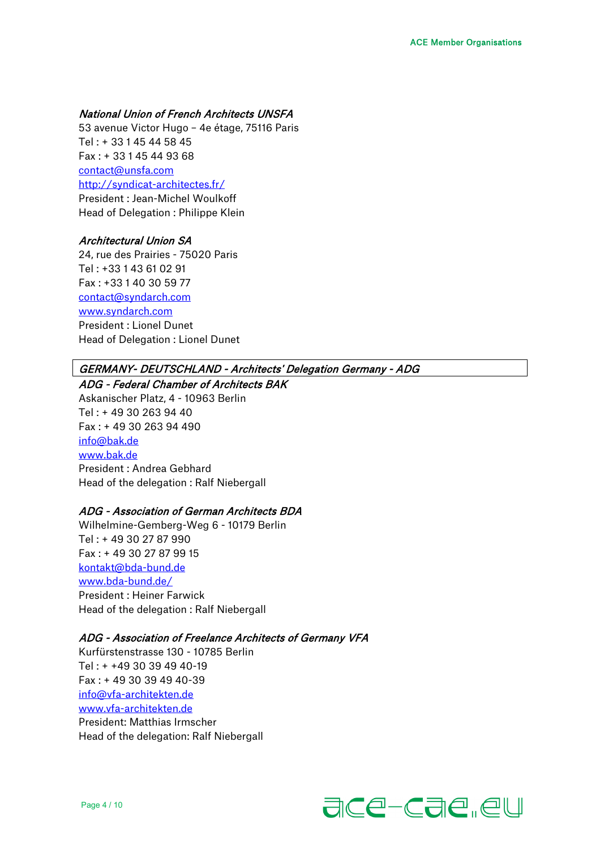## National Union of French Architects UNSFA

53 avenue Victor Hugo – 4e étage, 75116 Paris Tel : + 33 1 45 44 58 45 Fax : + 33 1 45 44 93 68 [contact@unsfa.com](mailto:contact@unsfa.com)  <http://syndicat-architectes.fr/> President : Jean-Michel Woulkoff Head of Delegation : Philippe Klein

#### Architectural Union SA

24, rue des Prairies - 75020 Paris Tel : +33 1 43 61 02 91 Fax : +33 1 40 30 59 77 [contact@syndarch.com](mailto:contact@syndarch.com)  [www.syndarch.com](http://www.syndarch.com/)  President : Lionel Dunet Head of Delegation : Lionel Dunet

#### GERMANY- DEUTSCHLAND - Architects' Delegation Germany - ADG

ADG - Federal Chamber of Architects BAK Askanischer Platz, 4 - 10963 Berlin Tel : + 49 30 263 94 40 Fax : + 49 30 263 94 490 [info@bak.de](mailto:info@bak.de)  [www.bak.de](http://www.bak.de/) President : Andrea Gebhard Head of the delegation : Ralf Niebergall

#### ADG - Association of German Architects BDA

Wilhelmine-Gemberg-Weg 6 - 10179 Berlin Tel : + 49 30 27 87 990 Fax : + 49 30 27 87 99 15 [kontakt@bda-bund.de](mailto:kontakt@bda-bund.de)  [www.bda-bund.de/](http://www.bda-bund.de/) President : Heiner Farwick Head of the delegation : Ralf Niebergall

#### ADG - Association of Freelance Architects of Germany VFA

Kurfürstenstrasse 130 - 10785 Berlin Tel : + +49 30 39 49 40-19 Fax : + 49 30 39 49 40-39 [info@vfa-architekten.de](mailto:info@vfa-architekten.de) [www.vfa-architekten.de](http://www.vfa-architekten.de/) President: Matthias Irmscher Head of the delegation: Ralf Niebergall

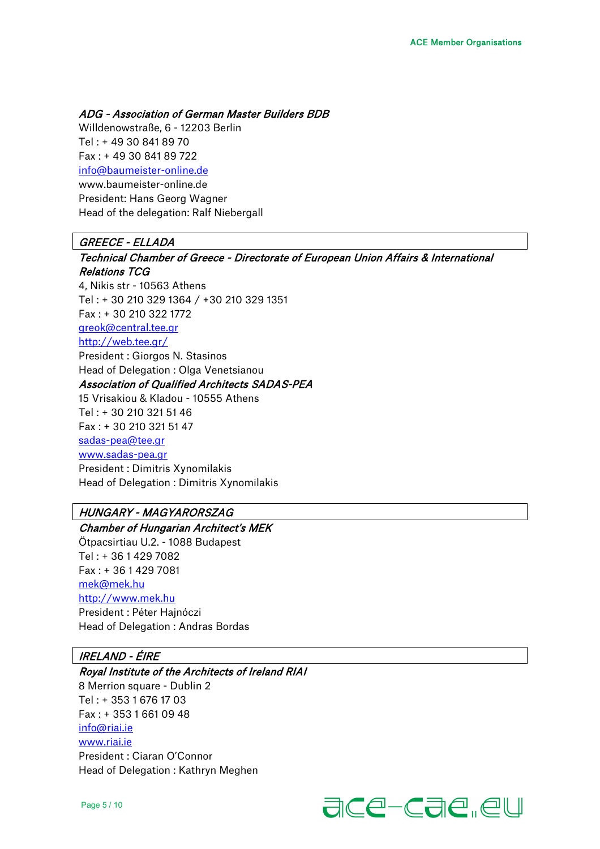ADG - Association of German Master Builders BDB

Willdenowstraße, 6 - 12203 Berlin Tel : + 49 30 841 89 70 Fax : + 49 30 841 89 722 [info@baumeister-online.de](mailto:info@baumeister-online.de) www.baumeister-online.de President: Hans Georg Wagner Head of the delegation: Ralf Niebergall

## GREECE - ELLADA

Technical Chamber of Greece - Directorate of European Union Affairs & International Relations TCG 4, Nikis str - 10563 Athens Tel : + 30 210 329 1364 / +30 210 329 1351 Fax : + 30 210 322 1772 [greok@central.tee.gr](mailto:greok@central.tee.gr)  <http://web.tee.gr/> President : Giorgos N. Stasinos Head of Delegation : Olga Venetsianou Association of Qualified Architects SADAS-PEA 15 Vrisakiou & Kladou - 10555 Athens Tel : + 30 210 321 51 46 Fax : + 30 210 321 51 47 [sadas-pea@tee.gr](mailto:sadas-pea@tee.gr)  [www.sadas-pea.gr](http://www.sadas-pea.gr/) President : Dimitris Xynomilakis Head of Delegation : Dimitris Xynomilakis

# HUNGARY - MAGYARORSZAG

Chamber of Hungarian Architect's MEK Ötpacsirtiau U.2. - 1088 Budapest Tel : + 36 1 429 7082 Fax : + 36 1 429 7081 [mek@mek.hu](mailto:mek@mek.hu)  [http://www.mek.hu](http://www.mek.hu/) President : Péter Hajnóczi Head of Delegation : Andras Bordas

## IRELAND - ÉIRE

Royal Institute of the Architects of Ireland RIAI 8 Merrion square - Dublin 2 Tel : + 353 1 676 17 03 Fax : + 353 1 661 09 48 [info@riai.ie](mailto:info@riai.ie) [www.riai.ie](http://www.riai.ie/) President : Ciaran O'Connor Head of Delegation : Kathryn Meghen

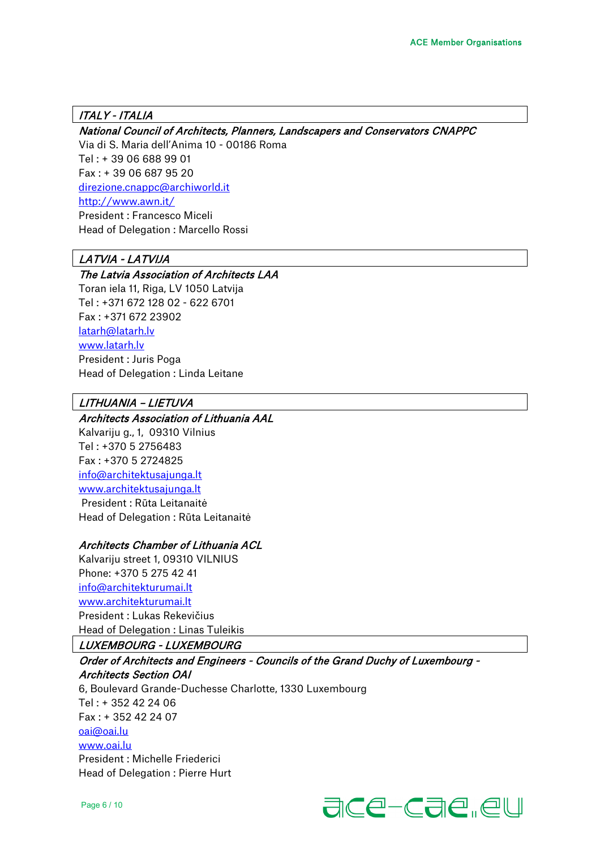## ITALY - ITALIA

## National Council of Architects, Planners, Landscapers and Conservators CNAPPC

Via di S. Maria dell'Anima 10 - 00186 Roma Tel : + 39 06 688 99 01 Fax : + 39 06 687 95 20 [direzione.cnappc@archiworld.it](mailto:direzione.cnappc@archiworld.it)  <http://www.awn.it/> President : Francesco Miceli Head of Delegation : Marcello Rossi

# LATVIA - LATVIJA

## The Latvia Association of Architects LAA

Toran iela 11, Riga, LV 1050 Latvija Tel : +371 672 128 02 - 622 6701 Fax : +371 672 23902 [latarh@latarh.lv](mailto:latarh@latarh.lv)  [www.latarh.lv](http://www.latarh.lv/)  President : Juris Poga Head of Delegation : Linda Leitane

## LITHUANIA – LIETUVA

## Architects Association of Lithuania AAL

Kalvariju g., 1, 09310 Vilnius Tel : +370 5 2756483 Fax : +370 5 2724825 [info@architektusajunga.lt](mailto:info@architektusajunga.lt) [www.architektusajunga.lt](http://www.architektusajunga.lt/) President : Rūta Leitanaitė Head of Delegation : Rūta Leitanaitė

## Architects Chamber of Lithuania ACL

Kalvariju street 1, 09310 VILNIUS Phone: +370 5 275 42 41 [info@architekturumai.lt](mailto:info@architekturumai.lt) [www.architekturumai.lt](http://www.architekturumai.lt/)  President : Lukas Rekevičius Head of Delegation : Linas Tuleikis

## LUXEMBOURG - LUXEMBOURG

Order of Architects and Engineers - Councils of the Grand Duchy of Luxembourg - Architects Section OAI 6, Boulevard Grande-Duchesse Charlotte, 1330 Luxembourg Tel : + 352 42 24 06 Fax : + 352 42 24 07

[oai@oai.lu](mailto:oai@oai.lu) 

[www.oai.lu](http://www.oai.lu/)

President : Michelle Friederici Head of Delegation : Pierre Hurt



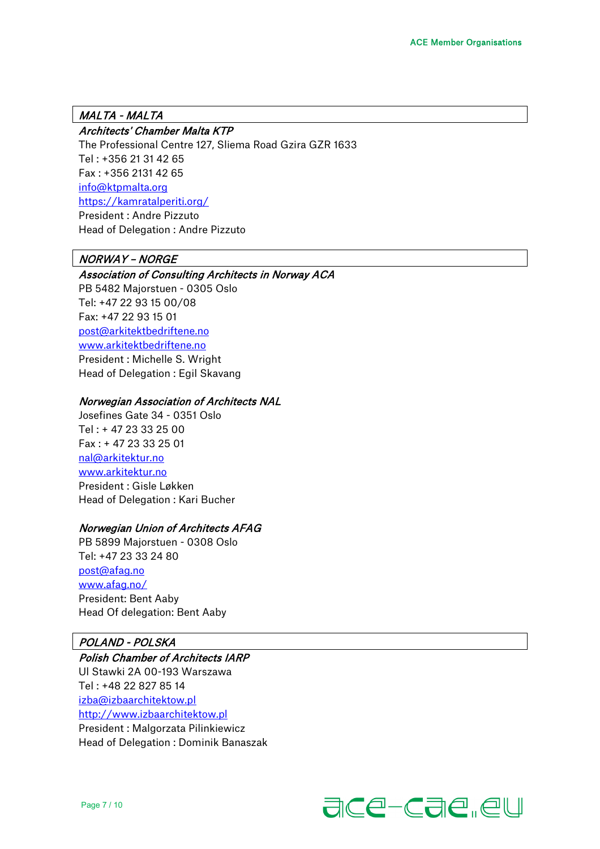## MALTA - MALTA

## Architects' Chamber Malta KTP

The Professional Centre 127, Sliema Road Gzira GZR 1633 Tel : +356 21 31 42 65 Fax : +356 2131 42 65 [info@ktpmalta.org](mailto:info@ktpmalta.org)  <https://kamratalperiti.org/> President : Andre Pizzuto Head of Delegation : Andre Pizzuto

## NORWAY – NORGE

#### Association of Consulting Architects in Norway ACA

PB 5482 Majorstuen - 0305 Oslo Tel: +47 22 93 15 00/08 Fax: +47 22 93 15 01 [post@arkitektbedriftene.no](mailto:post@arkitektbedriftene.no)  [www.arkitektbedriftene.no](http://www.arkitektbedriftene.no/)  President : Michelle S. Wright Head of Delegation : Egil Skavang

#### Norwegian Association of Architects NAL

Josefines Gate 34 - 0351 Oslo Tel : + 47 23 33 25 00 Fax : + 47 23 33 25 01 [nal@arkitektur.no](mailto:nal@arkitektur.no) [www.arkitektur.no](http://www.arkitektur.no/) President : Gisle Løkken Head of Delegation : Kari Bucher

#### Norwegian Union of Architects AFAG

PB 5899 Majorstuen - 0308 Oslo Tel: +47 23 33 24 80 [post@afag.no](mailto:post@afag.no) [www.afag.no/](http://www.afag.no/) President: Bent Aaby Head Of delegation: Bent Aaby

## POLAND - POLSKA

# Polish Chamber of Architects IARP Ul Stawki 2A 00-193 Warszawa Tel : +48 22 827 85 14

[izba@izbaarchitektow.pl](mailto:izba@izbaarchitektow.pl) [http://www.izbaarchitektow.pl](http://www.izbaarchitektow.pl/)  President : Malgorzata Pilinkiewicz Head of Delegation : Dominik Banaszak

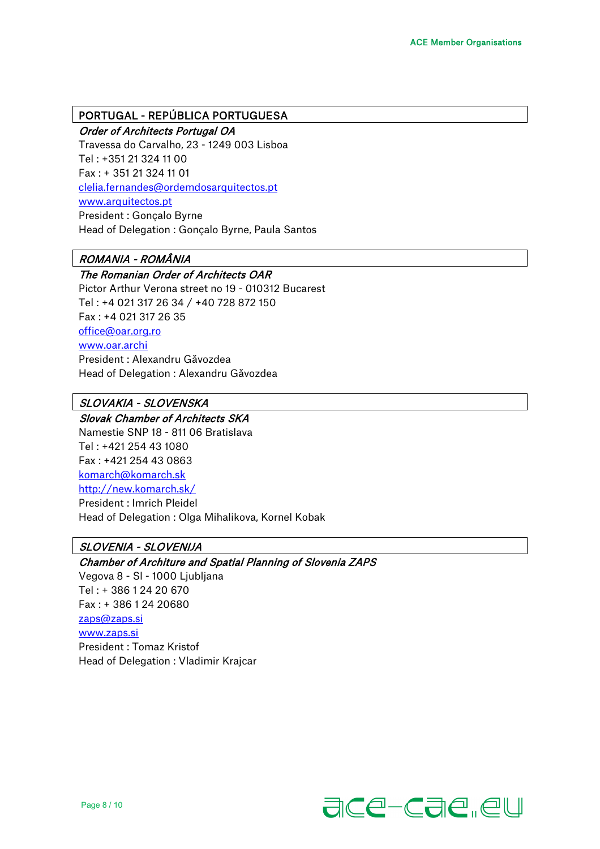#### PORTUGAL - REPÚBLICA PORTUGUESA

Order of Architects Portugal OA Travessa do Carvalho, 23 - 1249 003 Lisboa Tel : +351 21 324 11 00 Fax : + 351 21 324 11 01 [clelia.fernandes@ordemdosarquitectos.pt](mailto:clelia.fernandes@ordemdosarquitectos.pt) [www.arquitectos.pt](http://www.arquitectos.pt/) President : Gonçalo Byrne Head of Delegation : Gonçalo Byrne, Paula Santos

# ROMANIA - ROMÂNIA

## The Romanian Order of Architects OAR

Pictor Arthur Verona street no 19 - 010312 Bucarest Tel : +4 021 317 26 34 / +40 728 872 150 Fax : +4 021 317 26 35 [office@oar.org.ro](mailto:office@oar.org.ro) [www.oar.archi](http://www.oar.archi/) President : Alexandru Găvozdea Head of Delegation : Alexandru Găvozdea

# SLOVAKIA - SLOVENSKA

Slovak Chamber of Architects SKA Namestie SNP 18 - 811 06 Bratislava

Tel : +421 254 43 1080 Fax : +421 254 43 0863 [komarch@komarch.sk](mailto:komarch@komarch.sk) <http://new.komarch.sk/> President : Imrich Pleidel Head of Delegation : Olga Mihalikova, Kornel Kobak

# SLOVENIA - SLOVENIJA

Chamber of Architure and Spatial Planning of Slovenia ZAPS Vegova 8 - Sl - 1000 Ljubljana Tel : + 386 1 24 20 670 Fax : + 386 1 24 20680 [zaps@zaps.si](mailto:zaps@zaps.si) [www.zaps.si](http://www.zaps.si/) President : Tomaz Kristof Head of Delegation : Vladimir Krajcar

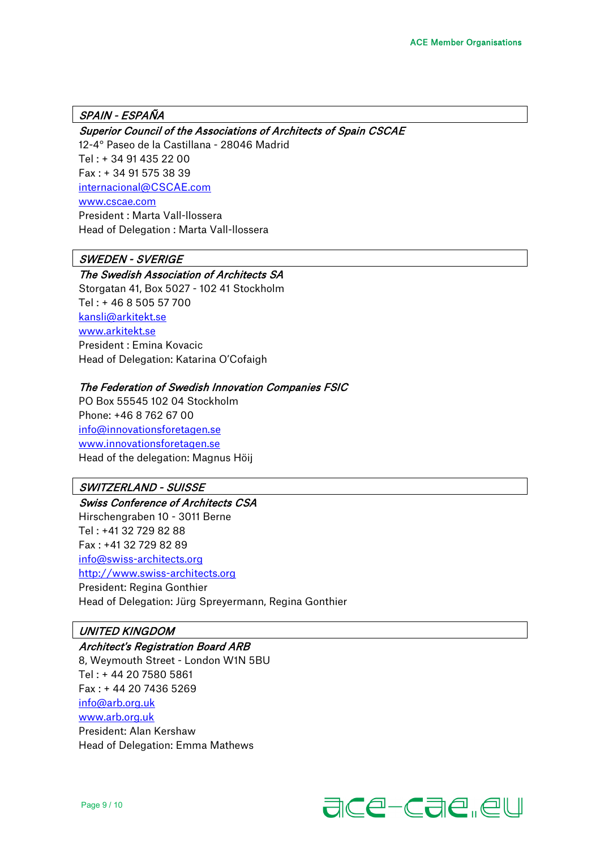## SPAIN - ESPAÑA

#### Superior Council of the Associations of Architects of Spain CSCAE

12-4° Paseo de la Castillana - 28046 Madrid Tel : + 34 91 435 22 00 Fax : + 34 91 575 38 39 [internacional@CSCAE.com](mailto:internacional@CSCAE.com) [www.cscae.com](http://www.cscae.com/) President : Marta Vall-llossera Head of Delegation : Marta Vall-llossera

## SWEDEN - SVERIGE

#### The Swedish Association of Architects SA

Storgatan 41, Box 5027 - 102 41 Stockholm Tel : + 46 8 505 57 700 [kansli@arkitekt.se](mailto:kansli@arkitekt.se) [www.arkitekt.se](http://www.arkitekt.se/) President : Emina Kovacic Head of Delegation: Katarina O'Cofaigh

#### The Federation of Swedish Innovation Companies FSIC

PO Box 55545 102 04 Stockholm Phone: +46 8 762 67 00 [info@innovationsforetagen.se](mailto:info@innovationsforetagen.se) [www.innovationsforetagen.se](http://www.innovationsforetagen.se/) Head of the delegation: Magnus Höij

## SWITZERLAND - SUISSE

Swiss Conference of Architects CSA Hirschengraben 10 - 3011 Berne Tel : +41 32 729 82 88 Fax : +41 32 729 82 89 [info@swiss-architects.org](mailto:info@swiss-architects.org) [http://www.swiss-architects.org](http://www.swiss-architects.org/)

President: Regina Gonthier Head of Delegation: Jürg Spreyermann, Regina Gonthier

## UNITED KINGDOM

#### Architect's Registration Board ARB

8, Weymouth Street - London W1N 5BU Tel : + 44 20 7580 5861 Fax : + 44 20 7436 5269 [info@arb.org.uk](mailto:info@arb.org.uk) [www.arb.org.uk](http://www.arb.org.uk/) President: Alan Kershaw Head of Delegation: Emma Mathews